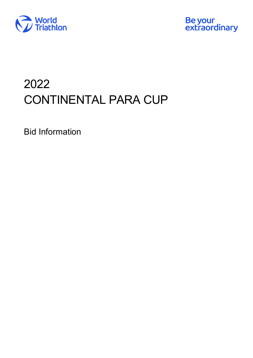



# 2022 CONTINENTAL PARA CUP

Bid Information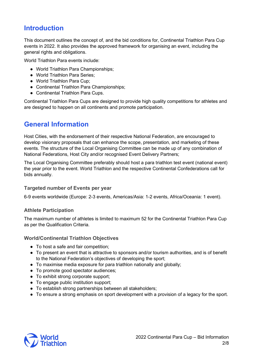# **Introduction**

This document outlines the concept of, and the bid conditions for, Continental Triathlon Para Cup events in 2022. It also provides the approved framework for organising an event, including the general rights and obligations.

World Triathlon Para events include:

- World Triathlon Para Championships;
- World Triathlon Para Series;
- World Triathlon Para Cup;
- Continental Triathlon Para Championships;
- Continental Triathlon Para Cups.

Continental Triathlon Para Cups are designed to provide high quality competitions for athletes and are designed to happen on all continents and promote participation.

# **General Information**

Host Cities, with the endorsement of their respective National Federation, are encouraged to develop visionary proposals that can enhance the scope, presentation, and marketing of these events. The structure of the Local Organising Committee can be made up of any combination of National Federations, Host City and/or recognised Event Delivery Partners;

The Local Organising Committee preferably should host a para triathlon test event (national event) the year prior to the event. World Triathlon and the respective Continental Confederations call for bids annually.

#### **Targeted number of Events per year**

6-9 events worldwide (Europe: 2-3 events, Americas/Asia: 1-2 events, Africa/Oceania: 1 event).

#### **Athlete Participation**

The maximum number of athletes is limited to maximum 52 for the Continental Triathlon Para Cup as per the [Qualification Criteria.](https://www.triathlon.org/uploads/docs/World_Triathlon_Para_triathlon_Qualification_Criteria_20211218.pdf)

#### **World/Continental Triathlon Objectives**

- To host a safe and fair competition;
- To present an event that is attractive to sponsors and/or tourism authorities, and is of benefit to the National Federation's objectives of developing the sport;
- To maximise media exposure for para triathlon nationally and globally;
- To promote good spectator audiences;
- To exhibit strong corporate support;
- To engage public institution support;
- To establish strong partnerships between all stakeholders;
- To ensure a strong emphasis on sport development with a provision of a legacy for the sport.

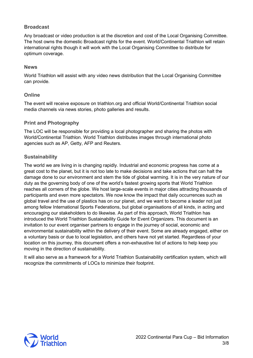# **Broadcast**

Any broadcast or video production is at the discretion and cost of the Local Organising Committee. The host owns the domestic Broadcast rights for the event. World/Continental Triathlon will retain international rights though it will work with the Local Organising Committee to distribute for optimum coverage.

#### **News**

World Triathlon will assist with any video news distribution that the Local Organising Committee can provide.

#### **Online**

The event will receive exposure on [triathlon.org a](http://www.triathlon.org/)nd official World/Continental Triathlon social media channels via news stories, photo galleries and results.

#### **Print and Photography**

The LOC will be responsible for providing a local photographer and sharing the photos with World/Continental Triathlon. World Triathlon distributes images through international photo agencies such as AP, Getty, AFP and Reuters.

#### **Sustainability**

The world we are living in is changing rapidly. Industrial and economic progress has come at a great cost to the planet, but it is not too late to make decisions and take actions that can halt the damage done to our environment and stem the tide of global warming. It is in the very nature of our duty as the governing body of one of the world's fastest growing sports that World Triathlon reaches all corners of the globe. We host large-scale events in major cities attracting thousands of participants and even more spectators. We now know the impact that daily occurrences such as global travel and the use of plastics has on our planet, and we want to become a leader not just among fellow International Sports Federations, but global organisations of all kinds, in acting and encouraging our stakeholders to do likewise. As part of this approach, World Triathlon has introduced the [World Triathlon Sustainability Guide](https://www.triathlon.org/uploads/docs/20210422_Covid19_Guidelines_5.1_v1.pdf) [for Event Organizers.](https://www.triathlon.org/uploads/docs/20210422_Covid19_Guidelines_5.1_v1.pdf) This document is an invitation to our event organiser partners to engage in the journey of social, economic and environmental sustainability within the delivery of their event. Some are already engaged, either on a voluntary basis or due to local legislation, and others have not yet started. Regardless of your location on this journey, this document offers a non-exhaustive list of actions to help keep you moving in the direction of sustainability.

It will also serve as a framework for a World Triathlon Sustainability certification system, which will recognize the commitments of LOCs to minimize their footprint.

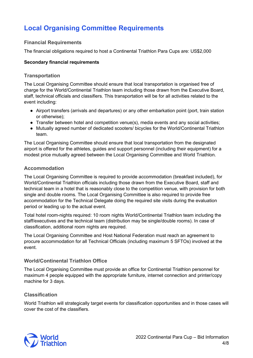# **Local Organising Committee Requirements**

# **Financial Requirements**

The financial obligations required to host a Continental Triathlon Para Cups are: US\$2,000

#### **Secondary financial requirements**

### **Transportation**

The Local Organising Committee should ensure that local transportation is organised free of charge for the World/Continental Triathlon team including those drawn from the Executive Board, staff, technical officials and classifiers. This transportation will be for all activities related to the event including:

- Airport transfers (arrivals and departures) or any other embarkation point (port, train station or otherwise);
- Transfer between hotel and competition venue(s), media events and any social activities;
- Mutually agreed number of dedicated scooters/ bicycles for the World/Continental Triathlon team.

The Local Organising Committee should ensure that local transportation from the designated airport is offered for the athletes, guides and support personnel (including their equipment) for a modest price mutually agreed between the Local Organising Committee and World Triathlon.

### **Accommodation**

The Local Organising Committee is required to provide accommodation (breakfast included), for World/Continental Triathlon officials including those drawn from the Executive Board, staff and technical team in a hotel that is reasonably close to the competition venue, with provision for both single and double rooms. The Local Organising Committee is also required to provide free accommodation for the Technical Delegate doing the required site visits during the evaluation period or leading up to the actual event.

Total hotel room-nights required: 10 room nights World/Continental Triathlon team including the staff/executives and the technical team (distribution may be single/double rooms). In case of classification, additional room nights are required.

The Local Organising Committee and Host National Federation must reach an agreement to procure accommodation for all Technical Officials (including maximum 5 SFTOs) involved at the event.

# **World/Continental Triathlon Office**

The Local Organising Committee must provide an office for Continental Triathlon personnel for maximum 4 people equipped with the appropriate furniture, internet connection and printer/copy machine for 3 days.

# **Classification**

World Triathlon will strategically target events for classification opportunities and in those cases will cover the cost of the classifiers.

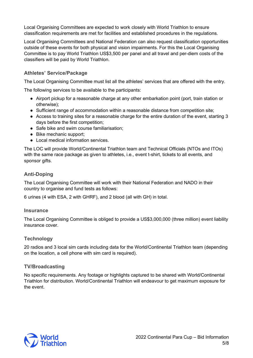Local Organising Committees are expected to work closely with World Triathlon to ensure classification requirements are met for facilities and established procedures in the regulations.

Local Organising Committees and National Federation can also request classification opportunities outside of these events for both physical and vision impairments. For this the Local Organising Committee is to pay World Triathlon US\$3,500 per panel and all travel and per-diem costs of the classifiers will be paid by World Triathlon.

#### **Athletes' Service/Package**

The Local Organising Committee must list all the athletes' services that are offered with the entry.

The following services to be available to the participants:

- Airport pickup for a reasonable charge at any other embarkation point (port, train station or otherwise);
- Sufficient range of accommodation within a reasonable distance from competition site;
- Access to training sites for a reasonable charge for the entire duration of the event, starting 3 days before the first competition;
- Safe bike and swim course familiarisation:
- Bike mechanic support;
- Local medical information services.

The LOC will provide World/Continental Triathlon team and Technical Officials (NTOs and ITOs) with the same race package as given to athletes, i.e., event t-shirt, tickets to all events, and sponsor gifts.

### **Anti-Doping**

The Local Organising Committee will work with their National Federation and NADO in their country to organise and fund tests as follows:

6 urines (4 with ESA, 2 with GHRF), and 2 blood (all with GH) in total.

#### **Insurance**

The Local Organising Committee is obliged to provide a US\$3,000,000 (three million) event liability insurance cover.

#### **Technology**

20 radios and 3 local sim cards including data for the World/Continental Triathlon team (depending on the location, a cell phone with sim card is required).

#### **TV/Broadcasting**

No specific requirements. Any footage or highlights captured to be shared with World/Continental Triathlon for distribution. World/Continental Triathlon will endeavour to get maximum exposure for the event.

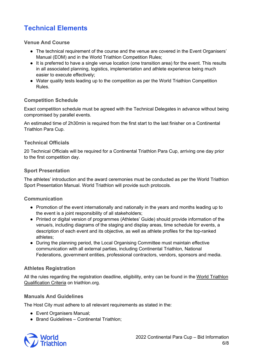# **Technical Elements**

#### **Venue And Course**

- The technical requirement of the course and the venue are covered in the Event Organisers' Manual (EOM) and in the World Triathlon Competition Rules;
- It is preferred to have a single venue location (one transition area) for the event. This results in all associated planning, logistics, implementation and athlete experience being much easier to execute effectively;
- Water quality tests leading up to the competition as per the World Triathlon Competition Rules.

# **Competition Schedule**

Exact competition schedule must be agreed with the Technical Delegates in advance without being compromised by parallel events.

An estimated time of 2h30min is required from the first start to the last finisher on a Continental Triathlon Para Cup.

# **Technical Officials**

20 Technical Officials will be required for a Continental Triathlon Para Cup, arriving one day prior to the first competition day.

# **Sport Presentation**

The athletes' introduction and the award ceremonies must be conducted as per the World Triathlon Sport Presentation Manual. World Triathlon will provide such protocols.

# **Communication**

- Promotion of the event internationally and nationally in the years and months leading up to the event is a joint responsibility of all stakeholders;
- Printed or digital version of programmes (Athletes' Guide) should provide information of the venue/s, including diagrams of the staging and display areas, time schedule for events, a description of each event and its objective, as well as athlete profiles for the top-ranked athletes;
- During the planning period, the Local Organising Committee must maintain effective communication with all external parties, including Continental Triathlon, National Federations, government entities, professional contractors, vendors, sponsors and media.

# **Athletes Registration**

All the rules regarding the registration deadline, eligibility, entry can be found in the [World Triathlon](https://www.triathlon.org/uploads/docs/World_Triathlon_Para_triathlon_Qualification_Criteria_20211218.pdf)  [Qualification Criteria](https://www.triathlon.org/uploads/docs/World_Triathlon_Para_triathlon_Qualification_Criteria_20211218.pdf) on [triathlon.org.](http://www.triathlon.org/)

# **Manuals And Guidelines**

The Host City must adhere to all relevant requirements as stated in the:

- [Event Organisers Manual;](https://triathlon.org/about/downloads/category/event_organisers_manual)
- Brand Guidelines [Continental Triathlon;](https://www.triathlon.org/uploads/docs/World_Triathlon_Championships_Guidelines_v13.pdf)

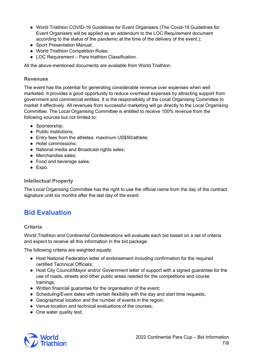- [World Triathlon COVID-19 Guidelines for](https://www.triathlon.org/uploads/docs/20210422_Covid19_Guidelines_5.1_v2.pdf) [Event Organisers](https://www.triathlon.org/uploads/docs/20210422_Covid19_Guidelines_5.1_v2.pdf) (The Covid-19 Guidelines for Event Organisers will be applied as an addendum to the LOC Requirement document according to the status of the pandemic at the time of the delivery of the event.);
- [Sport Presentation Manual;](https://triathlon.org/about/downloads/category/sport_presentation)
- [World Triathlon Competition Rules;](https://triathlon.org/about/downloads/category/competition_rules)
- LOC Requirement [Para triathlon Classification.](https://www.triathlon.org/uploads/docs/LOC_%E2%80%93_Paratriathlon_Classification_Requirements.pdf)

All the above-mentioned documents are available from World Triathlon.

#### **Revenues**

The event has the potential for generating considerable revenue over expenses when well marketed. It provides a good opportunity to reduce overhead expenses by attracting support from government and commercial entities. It is the responsibility of the Local Organising Committee to market it effectively. All revenues from successful marketing will go directly to the Local Organising Committee. The Local Organising Committee is entitled to receive 100% revenue from the following sources but not limited to:

- Sponsorship;
- Public institutions;
- Entry fees from the athletes: maximum US\$50/athlete;
- Hotel commissions;
- National media and Broadcast rights sales;
- Merchandise sales;
- Food and beverage sales;
- Expo.

# **Intellectual Property**

The Local Organising Committee has the right to use the official name from the day of the contract signature until six months after the last day of the event.

# **Bid Evaluation**

#### **Criteria**

World Triathlon and Continental Confederations will evaluate each bid based on a set of criteria and expect to receive all this information in the bid package.

The following criteria are weighted equally:

- Host National Federation letter of endorsement including confirmation for the required certified Technical Officials;
- Host City Council/Mayor and/or Government letter of support with a signed guarantee for the use of roads, streets and other public areas needed for the competitions and course trainings;
- Written financial guarantee for the organisation of the event;
- Scheduling/Event dates with certain flexibility with the day and start time requests;
- Geographical location and the number of events in the region;
- Venue location and technical evaluations of the courses;
- One water quality test;